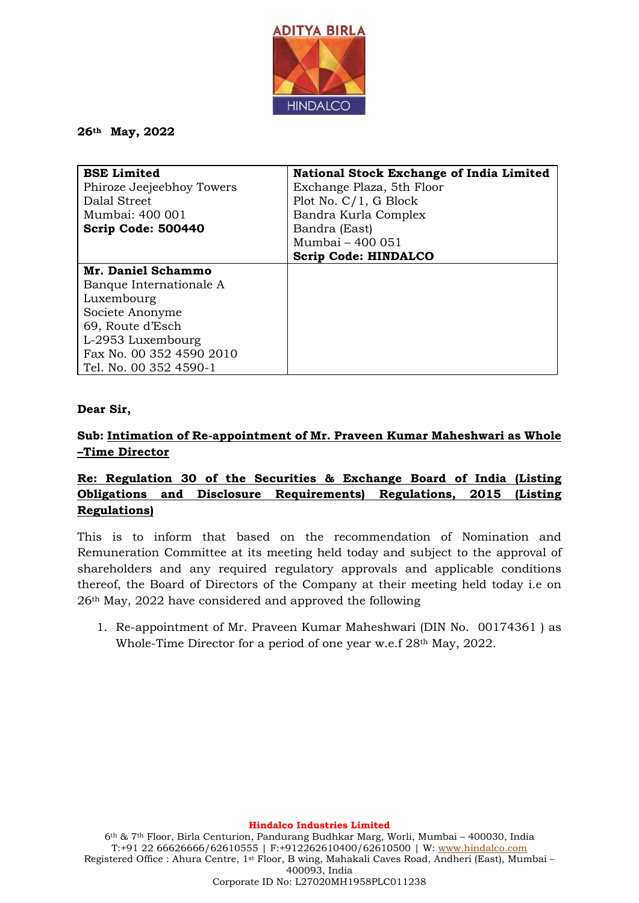

**26th May, 2022**

| <b>BSE Limited</b>        | <b>National Stock Exchange of India Limited</b> |
|---------------------------|-------------------------------------------------|
| Phiroze Jeejeebhoy Towers | Exchange Plaza, 5th Floor                       |
| Dalal Street              | Plot No. $C/1$ , G Block                        |
| Mumbai: 400 001           | Bandra Kurla Complex                            |
| <b>Scrip Code: 500440</b> | Bandra (East)                                   |
|                           | Mumbai - 400 051                                |
|                           | <b>Scrip Code: HINDALCO</b>                     |
| Mr. Daniel Schammo        |                                                 |
| Banque Internationale A   |                                                 |
| Luxembourg                |                                                 |
| Societe Anonyme           |                                                 |
| 69, Route d'Esch          |                                                 |
| L-2953 Luxembourg         |                                                 |
| Fax No. 00 352 4590 2010  |                                                 |
| Tel. No. 00 352 4590-1    |                                                 |

### **Dear Sir,**

## **Sub: Intimation of Re-appointment of Mr. Praveen Kumar Maheshwari as Whole –Time Director**

# **Re: Regulation 30 of the Securities & Exchange Board of India (Listing Obligations and Disclosure Requirements) Regulations, 2015 (Listing Regulations)**

This is to inform that based on the recommendation of Nomination and Remuneration Committee at its meeting held today and subject to the approval of shareholders and any required regulatory approvals and applicable conditions thereof, the Board of Directors of the Company at their meeting held today i.e on 26th May, 2022 have considered and approved the following

1. Re-appointment of Mr. Praveen Kumar Maheshwari (DIN No. 00174361 ) as Whole-Time Director for a period of one year w.e.f 28<sup>th</sup> May, 2022.

**Hindalco Industries Limited**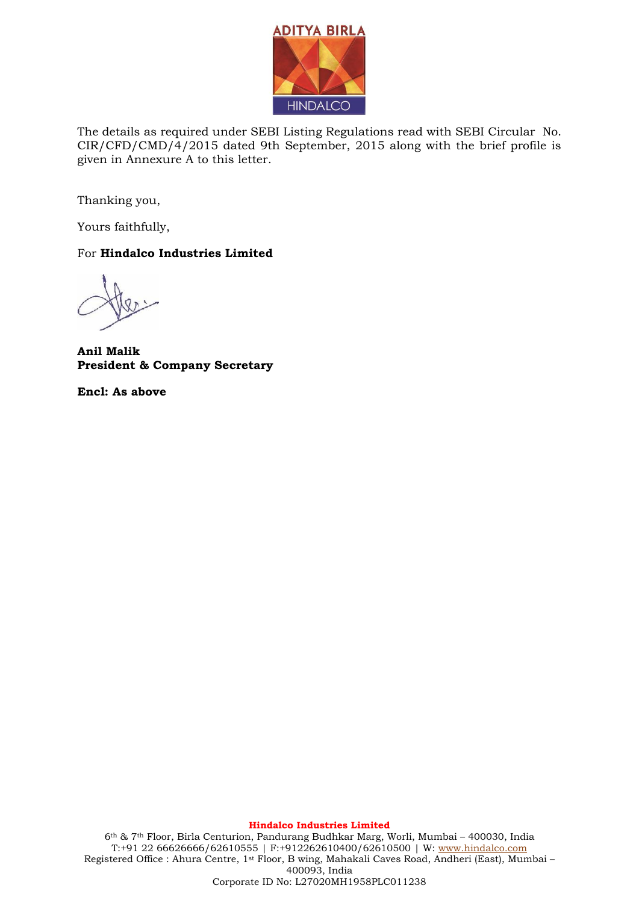

The details as required under SEBI Listing Regulations read with SEBI Circular No. CIR/CFD/CMD/4/2015 dated 9th September, 2015 along with the brief profile is given in Annexure A to this letter.

Thanking you,

Yours faithfully,

For **Hindalco Industries Limited** 

**Anil Malik President & Company Secretary**

**Encl: As above** 

**Hindalco Industries Limited**

 $6^{\rm th}$  & 7th Floor, Birla Centurion, Pandurang Budhkar Marg, Worli, Mumbai – 400030, India T:+91 22 66626666/62610555 | F:+912262610400/62610500 | W: [www.hindalco.com](http://www.hindalco.com/) Registered Office : Ahura Centre, 1st Floor, B wing, Mahakali Caves Road, Andheri (East), Mumbai – 400093, India Corporate ID No: L27020MH1958PLC011238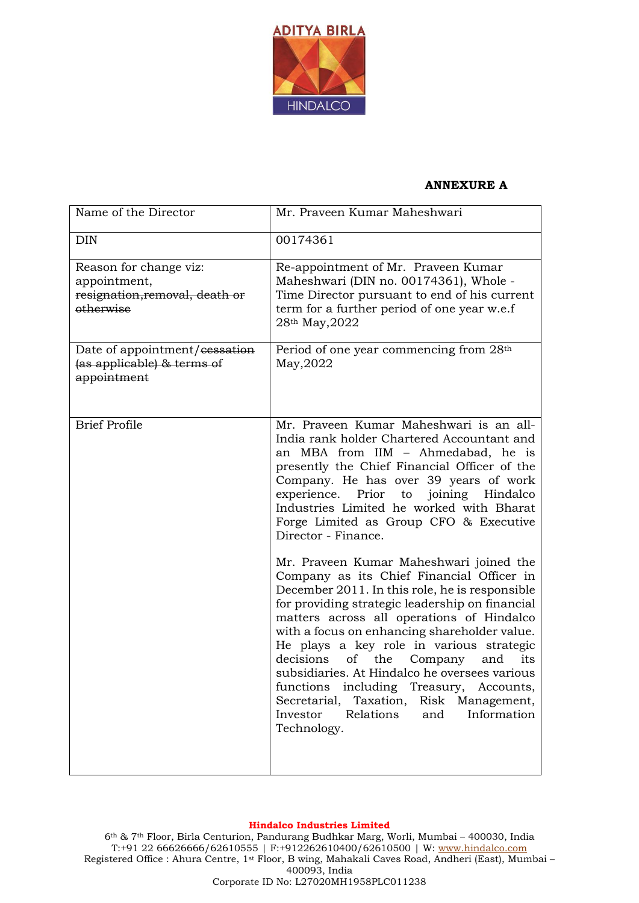

## **ANNEXURE A**

| Name of the Director                                                                  | Mr. Praveen Kumar Maheshwari                                                                                                                                                                                                                                                                                                                                                                                                                                                                                                                                                                     |
|---------------------------------------------------------------------------------------|--------------------------------------------------------------------------------------------------------------------------------------------------------------------------------------------------------------------------------------------------------------------------------------------------------------------------------------------------------------------------------------------------------------------------------------------------------------------------------------------------------------------------------------------------------------------------------------------------|
| <b>DIN</b>                                                                            | 00174361                                                                                                                                                                                                                                                                                                                                                                                                                                                                                                                                                                                         |
| Reason for change viz:<br>appointment,<br>resignation, removal, death or<br>otherwise | Re-appointment of Mr. Praveen Kumar<br>Maheshwari (DIN no. 00174361), Whole -<br>Time Director pursuant to end of his current<br>term for a further period of one year w.e.f<br>28th May, 2022                                                                                                                                                                                                                                                                                                                                                                                                   |
| Date of appointment/eessation<br>(as applicable) & terms of<br>appointment            | Period of one year commencing from 28th<br>May, 2022                                                                                                                                                                                                                                                                                                                                                                                                                                                                                                                                             |
| <b>Brief Profile</b>                                                                  | Mr. Praveen Kumar Maheshwari is an all-<br>India rank holder Chartered Accountant and<br>an MBA from IIM - Ahmedabad, he is<br>presently the Chief Financial Officer of the<br>Company. He has over 39 years of work<br>joining Hindalco<br>experience. Prior<br>to<br>Industries Limited he worked with Bharat<br>Forge Limited as Group CFO & Executive<br>Director - Finance.                                                                                                                                                                                                                 |
|                                                                                       | Mr. Praveen Kumar Maheshwari joined the<br>Company as its Chief Financial Officer in<br>December 2011. In this role, he is responsible<br>for providing strategic leadership on financial<br>matters across all operations of Hindalco<br>with a focus on enhancing shareholder value.<br>He plays a key role in various strategic<br>the Company<br>decisions<br>of<br>and<br>its<br>subsidiaries. At Hindalco he oversees various<br>including Treasury, Accounts,<br>functions<br>Taxation,<br>Risk Management,<br>Secretarial,<br>Relations<br>and<br>Information<br>Investor<br>Technology. |

#### **Hindalco Industries Limited**

6th & 7th Floor, Birla Centurion, Pandurang Budhkar Marg, Worli, Mumbai – 400030, India T:+91 22 66626666/62610555 | F:+912262610400/62610500 | W: <u>www.hindalco.com</u> Registered Office : Ahura Centre, 1st Floor, B wing, Mahakali Caves Road, Andheri (East), Mumbai – 400093, India Corporate ID No: L27020MH1958PLC011238